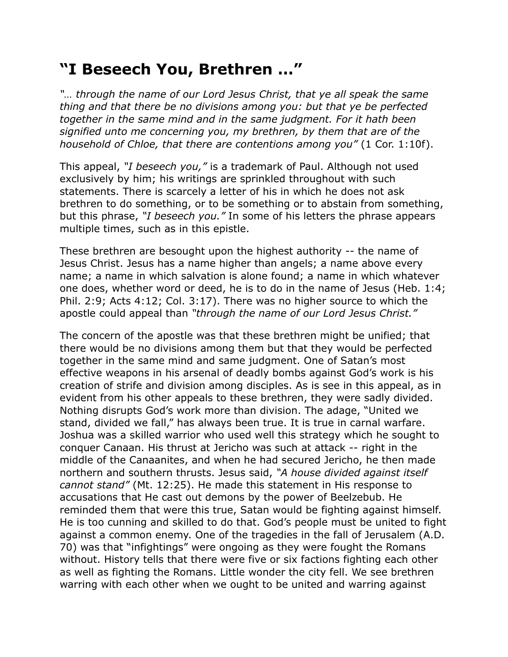## **"I Beseech You, Brethren …"**

*"… through the name of our Lord Jesus Christ, that ye all speak the same thing and that there be no divisions among you: but that ye be perfected together in the same mind and in the same judgment. For it hath been signified unto me concerning you, my brethren, by them that are of the household of Chloe, that there are contentions among you"* (1 Cor. 1:10f).

This appeal, *"I beseech you,"* is a trademark of Paul. Although not used exclusively by him; his writings are sprinkled throughout with such statements. There is scarcely a letter of his in which he does not ask brethren to do something, or to be something or to abstain from something, but this phrase, *"I beseech you."* In some of his letters the phrase appears multiple times, such as in this epistle.

These brethren are besought upon the highest authority -- the name of Jesus Christ. Jesus has a name higher than angels; a name above every name; a name in which salvation is alone found; a name in which whatever one does, whether word or deed, he is to do in the name of Jesus (Heb. 1:4; Phil. 2:9; Acts 4:12; Col. 3:17). There was no higher source to which the apostle could appeal than *"through the name of our Lord Jesus Christ."*

The concern of the apostle was that these brethren might be unified; that there would be no divisions among them but that they would be perfected together in the same mind and same judgment. One of Satan's most effective weapons in his arsenal of deadly bombs against God's work is his creation of strife and division among disciples. As is see in this appeal, as in evident from his other appeals to these brethren, they were sadly divided. Nothing disrupts God's work more than division. The adage, "United we stand, divided we fall," has always been true. It is true in carnal warfare. Joshua was a skilled warrior who used well this strategy which he sought to conquer Canaan. His thrust at Jericho was such at attack -- right in the middle of the Canaanites, and when he had secured Jericho, he then made northern and southern thrusts. Jesus said, *"A house divided against itself cannot stand"* (Mt. 12:25). He made this statement in His response to accusations that He cast out demons by the power of Beelzebub. He reminded them that were this true, Satan would be fighting against himself. He is too cunning and skilled to do that. God's people must be united to fight against a common enemy. One of the tragedies in the fall of Jerusalem (A.D. 70) was that "infightings" were ongoing as they were fought the Romans without. History tells that there were five or six factions fighting each other as well as fighting the Romans. Little wonder the city fell. We see brethren warring with each other when we ought to be united and warring against